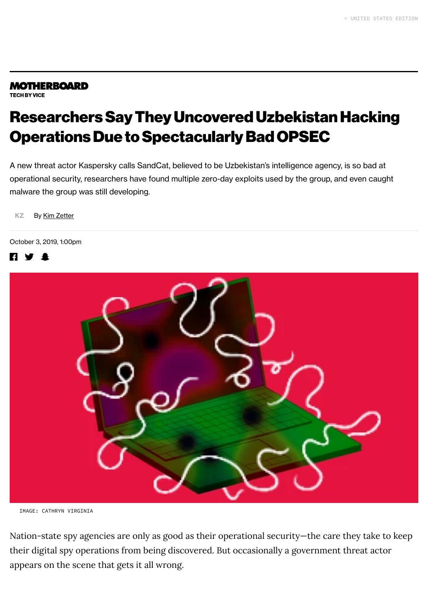### **MOTHERBOARD**

**TECH BY VICE** 

## ResearchersSayThey Uncovered Uzbekistan Hacking **Operations Due to Spectacularly Bad OPSEC**

A new threat actor Kaspersky calls SandCat, believed to be Uzbekistan's intelligence agency, is so bad at operational security, researchers have found multiple zero-day exploits used by the group, and even caught malware the group was still developing.

[KZ](https://www.vice.com/en_us/contributor/kim-zetter) By Kim [Zetter](https://www.vice.com/en_us/contributor/kim-zetter)

#### October 3, 2019, 1:00pm





IMAGE: CATHRYN VIRGINIA

Nation-state spy agencies are only as good as their operational security—the care they take to keep their digital spy operations from being discovered. But occasionally a government threat actor appears on the scene that gets it all wrong.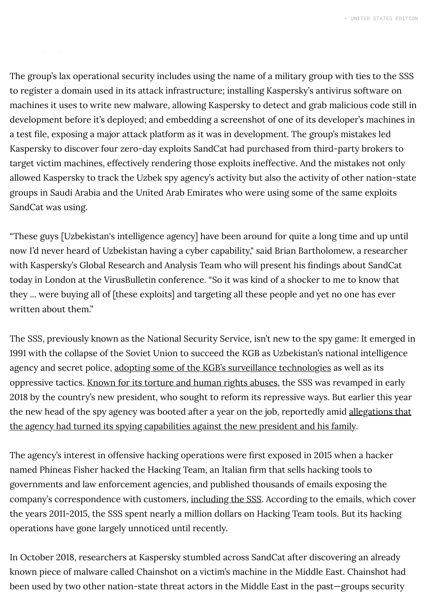The group's lax operational security includes using the name of a military group with ties to the SSS to register a domain used in its attack infrastructure; installing Kaspersky's antivirus software on machines it uses to write new malware, allowing Kaspersky to detect and grab malicious code still in development before it's deployed; and embedding a screenshot of one of its developer's machines in a test file, exposing a major attack platform as it was in development. The group's mistakes led Kaspersky to discover four zero-day exploits SandCat had purchased from third-party brokers to target victim machines, effectively rendering those exploits ineffective. And the mistakes not only allowed Kaspersky to track the Uzbek spy agency's activity but also the activity of other nation-state groups in Saudi Arabia and the United Arab Emirates who were using some of the same exploits SandCat was using.

"These guys [Uzbekistan's intelligence agency] have been around for quite a long time and up until now I'd never heard of Uzbekistan having a cyber capability," said Brian Bartholomew, a researcher with Kaspersky's Global Research and Analysis Team who will present his findings about SandCat today in London at the VirusBulletin conference. "So it was kind of a shocker to me to know that they ... were buying all of [these exploits] and targeting all these people and yet no one has ever written about them."

The SSS, previously known as the National Security Service, isn't new to the spy game: It emerged in 1991 with the collapse of the Soviet Union to succeed the KGB as Uzbekistan's national intelligence agency and secret police, adopting some of the [KGB's surveillance](https://www.wired.com/2012/12/russias-hand/) technologies as well as its oppressive tactics. Known for [its torture](https://www.amnesty.org.uk/files/webfm/Documents/issues/eur_62_1086_2015_uzbekistantorture_fullreport.pdf?sMDvswFYigdhKzuEiNn89TaIgSBqYtF8) and human rights abuses, the SSS was revamped in early 2018 by the country's new president, who sought to reform its repressive ways. But earlier this year the new head of the spy agency was booted after a year on the job, reportedly amid [allegations that](https://eurasianet.org/uzbekistan-head-of-security-services-gets-chop-amid-talk-of-surveillance) the agency had turned its spying capabilities against the new president and his family.

The agency's interest in offensive hacking operations were first exposed in 2015 when a hacker named Phineas Fisher hacked the Hacking Team, an Italian firm that sells hacking tools to governments and law enforcement agencies, and published thousands of emails exposing the company's correspondence with customers, [including](https://wikileaks.org/hackingteam/emails/?q=itt.uz&mfrom=&mto=&title=¬itle=&date=&nofrom=¬o=&count=50&sort=0#searchresult) the SSS. According to the emails, which cover the years 2011-2015, the SSS spent nearly a million dollars on Hacking Team tools. But its hacking operations have gone largely unnoticed until recently.

been used by two other nation-state threat actors in the Middle East in the past—groups security In October 2018, researchers at Kaspersky stumbled across SandCat after discovering an already known piece of malware called Chainshot on a victim's machine in the Middle East. Chainshot had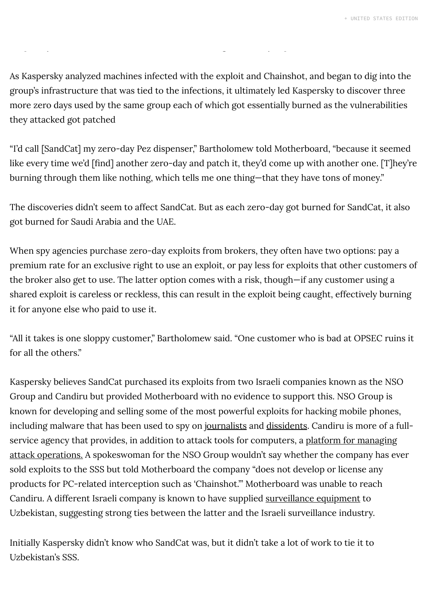As Kaspersky analyzed machines infected with the exploit and Chainshot, and began to dig into the group's infrastructure that was tied to the infections, it ultimately led Kaspersky to discover three more zero days used by the same group each of which got essentially burned as the vulnerabilities they attacked got patched

"I'd call [SandCat] my zero-day Pez dispenser," Bartholomew told Motherboard, "because it seemed like every time we'd [find] another zero-day and patch it, they'd come up with another one. [T]hey're burning through them like nothing, which tells me one thing—that they have tons of money."

The discoveries didn't seem to affect SandCat. But as each zero-day got burned for SandCat, it also got burned for Saudi Arabia and the UAE.

When spy agencies purchase zero-day exploits from brokers, they often have two options: pay a premium rate for an exclusive right to use an exploit, or pay less for exploits that other customers of the broker also get to use. The latter option comes with a risk, though—if any customer using a shared exploit is careless or reckless, this can result in the exploit being caught, effectively burning it for anyone else who paid to use it.

"All it takes is one sloppy customer," Bartholomew said. "One customer who is bad at OPSEC ruins it for all the others."

Kaspersky believes SandCat purchased its exploits from two Israeli companies known as the NSO Group and Candiru but provided Motherboard with no evidence to support this. NSO Group is known for developing and selling some of the most powerful exploits for hacking mobile phones, including malware that has been used to spy on [journalists](https://www.vice.com/en_us/article/59zajx/mexicos-sloppy-hacking-attempts-expose-customers-of-a-dollar1-billion-spyware-company) and [dissidents](https://www.vice.com/en_us/article/mg7pjy/ahmed-mansoor-million-dollar-dissident-government-spyware). Candiru is more of a fullservice agency that provides, in addition to attack tools for computers, a platform for managing attack operations. A [spokeswoman](https://www.haaretz.com/middle-east-news/.premium-top-secret-israeli-cyberattack-firm-revealed-1.6805950) for the NSO Group wouldn't say whether the company has ever sold exploits to the SSS but told Motherboard the company "does not develop or license any products for PC-related interception such as 'Chainshot.'" Motherboard was unable to reach Candiru. A different Israeli company is known to have supplied [surveillance](https://equalit.ie/deflect-labs-report-6/) equipment to Uzbekistan, suggesting strong ties between the latter and the Israeli surveillance industry.

Initially Kaspersky didn't know who SandCat was, but it didn't take a lot of work to tie it to Uzbekistan's SSS.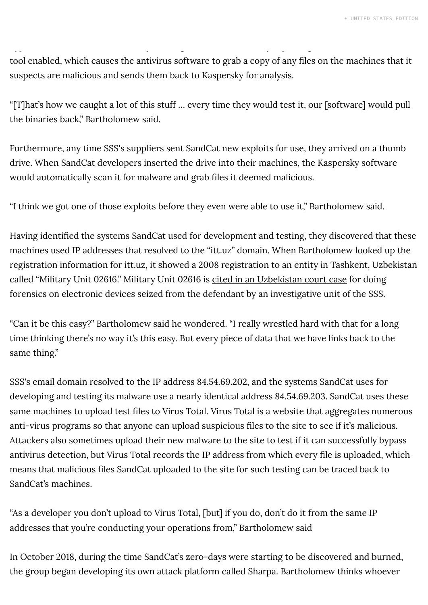tool enabled, which causes the antivirus software to grab a copy of any files on the machines that it suspects are malicious and sends them back to Kaspersky for analysis.

"[T]hat's how we caught a lot of this stuff … every time they would test it, our [software] would pull the binaries back," Bartholomew said.

Furthermore, any time SSS's suppliers sent SandCat new exploits for use, they arrived on a thumb drive. When SandCat developers inserted the drive into their machines, the Kaspersky software would automatically scan it for malware and grab files it deemed malicious.

"I think we got one of those exploits before they even were able to use it," Bartholomew said.

Having identified the systems SandCat used for development and testing, they discovered that these machines used IP addresses that resolved to the "itt.uz" domain. When Bartholomew looked up the registration information for itt.uz, it showed a 2008 registration to an entity in Tashkent, Uzbekistan called "Military Unit 02616." Military Unit 02616 is cited in an [Uzbekistan](https://uzxalqharakati.com/ru/archives/22106) court case for doing forensics on electronic devices seized from the defendant by an investigative unit of the SSS.

"Can it be this easy?" Bartholomew said he wondered. "I really wrestled hard with that for a long time thinking there's no way it's this easy. But every piece of data that we have links back to the same thing."

SSS's email domain resolved to the IP address 84.54.69.202, and the systems SandCat uses for developing and testing its malware use a nearly identical address 84.54.69.203. SandCat uses these same machines to upload test files to Virus Total. Virus Total is a website that aggregates numerous anti-virus programs so that anyone can upload suspicious files to the site to see if it's malicious. Attackers also sometimes upload their new malware to the site to test if it can successfully bypass antivirus detection, but Virus Total records the IP address from which every file is uploaded, which means that malicious files SandCat uploaded to the site for such testing can be traced back to SandCat's machines.

"As a developer you don't upload to Virus Total, [but] if you do, don't do it from the same IP addresses that you're conducting your operations from," Bartholomew said

In October 2018, during the time SandCat's zero-days were starting to be discovered and burned, the group began developing its own attack platform called Sharpa. Bartholomew thinks whoever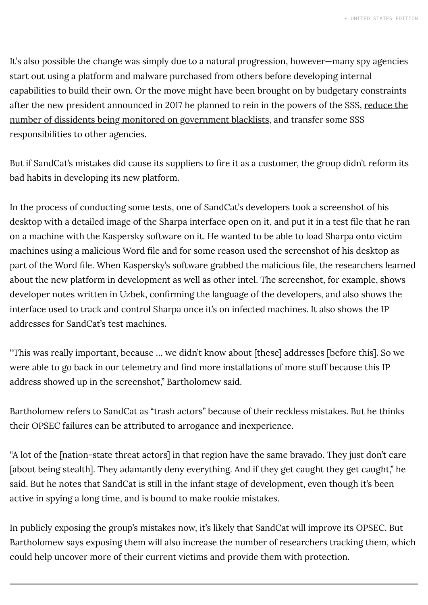It's also possible the change was simply due to a natural progression, however—many spy agencies start out using a platform and malware purchased from others before developing internal capabilities to build their own. Or the move might have been brought on by budgetary constraints after the new president announced in 2017 he planned to rein in the powers of the SSS, reduce the number [of dissidents being](https://www.reuters.com/article/us-uzbekistan-security-blacklist-idUSKCN1AV1O1) monitored on government blacklists, and transfer some SSS responsibilities to other agencies.

But if SandCat's mistakes did cause its suppliers to fire it as a customer, the group didn't reform its bad habits in developing its new platform.

In the process of conducting some tests, one of SandCat's developers took a screenshot of his desktop with a detailed image of the Sharpa interface open on it, and put it in a test file that he ran on a machine with the Kaspersky software on it. He wanted to be able to load Sharpa onto victim machines using a malicious Word file and for some reason used the screenshot of his desktop as part of the Word file. When Kaspersky's software grabbed the malicious file, the researchers learned about the new platform in development as well as other intel. The screenshot, for example, shows developer notes written in Uzbek, confirming the language of the developers, and also shows the interface used to track and control Sharpa once it's on infected machines. It also shows the IP addresses for SandCat's test machines.

"This was really important, because … we didn't know about [these] addresses [before this]. So we were able to go back in our telemetry and find more installations of more stuff because this IP address showed up in the screenshot," Bartholomew said.

Bartholomew refers to SandCat as "trash actors" because of their reckless mistakes. But he thinks their OPSEC failures can be attributed to arrogance and inexperience.

"A lot of the [nation-state threat actors] in that region have the same bravado. They just don't care [about being stealth]. They adamantly deny everything. And if they get caught they get caught," he said. But he notes that SandCat is still in the infant stage of development, even though it's been active in spying a long time, and is bound to make rookie mistakes.

In publicly exposing the group's mistakes now, it's likely that SandCat will improve its OPSEC. But Bartholomew says exposing them will also increase the number of researchers tracking them, which could help uncover more of their current victims and provide them with protection.